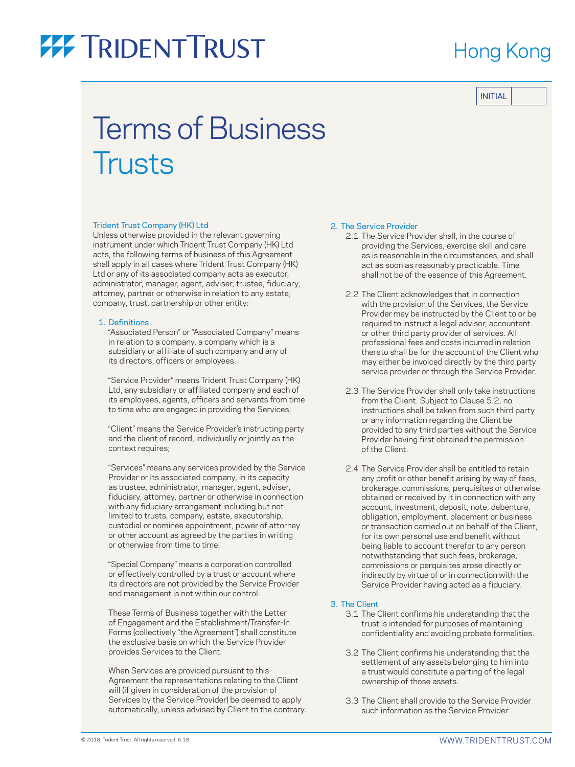### Hong Kong

INITIAL

## Terms of Business **Trusts**

#### Trident Trust Company (HK) Ltd

Unless otherwise provided in the relevant governing instrument under which Trident Trust Company (HK) Ltd acts, the following terms of business of this Agreement shall apply in all cases where Trident Trust Company (HK) Ltd or any of its associated company acts as executor, administrator, manager, agent, adviser, trustee, fiduciary, attorney, partner or otherwise in relation to any estate, company, trust, partnership or other entity:

#### 1. Definitions

 "Associated Person" or "Associated Company" means in relation to a company, a company which is a subsidiary or affiliate of such company and any of its directors, officers or employees.

 "Service Provider" means Trident Trust Company (HK) Ltd, any subsidiary or affiliated company and each of its employees, agents, officers and servants from time to time who are engaged in providing the Services;

 "Client" means the Service Provider's instructing party and the client of record, individually or jointly as the context requires;

 "Services" means any services provided by the Service Provider or its associated company, in its capacity as trustee, administrator, manager, agent, adviser, fiduciary, attorney, partner or otherwise in connection with any fiduciary arrangement including but not limited to trusts, company, estate, executorship, custodial or nominee appointment, power of attorney or other account as agreed by the parties in writing or otherwise from time to time.

 "Special Company" means a corporation controlled or effectively controlled by a trust or account where its directors are not provided by the Service Provider and management is not within our control.

 These Terms of Business together with the Letter of Engagement and the Establishment/Transfer-In Forms (collectively "the Agreement") shall constitute the exclusive basis on which the Service Provider provides Services to the Client.

 When Services are provided pursuant to this Agreement the representations relating to the Client will (if given in consideration of the provision of Services by the Service Provider) be deemed to apply automatically, unless advised by Client to the contrary.

#### 2. The Service Provider

- 2.1 The Service Provider shall, in the course of providing the Services, exercise skill and care as is reasonable in the circumstances, and shall act as soon as reasonably practicable. Time shall not be of the essence of this Agreement.
- 2.2 The Client acknowledges that in connection with the provision of the Services, the Service Provider may be instructed by the Client to or be required to instruct a legal advisor, accountant or other third party provider of services. All professional fees and costs incurred in relation thereto shall be for the account of the Client who may either be invoiced directly by the third party service provider or through the Service Provider.
- 2.3 The Service Provider shall only take instructions from the Client. Subject to Clause 5.2, no instructions shall be taken from such third party or any information regarding the Client be provided to any third parties without the Service Provider having first obtained the permission of the Client.
- 2.4 The Service Provider shall be entitled to retain any profit or other benefit arising by way of fees, brokerage, commissions, perquisites or otherwise obtained or received by it in connection with any account, investment, deposit, note, debenture, obligation, employment, placement or business or transaction carried out on behalf of the Client, for its own personal use and benefit without being liable to account therefor to any person notwithstanding that such fees, brokerage, commissions or perquisites arose directly or indirectly by virtue of or in connection with the Service Provider having acted as a fiduciary.

#### 3. The Client

- 3.1 The Client confirms his understanding that the trust is intended for purposes of maintaining confidentiality and avoiding probate formalities.
- 3.2 The Client confirms his understanding that the settlement of any assets belonging to him into a trust would constitute a parting of the legal ownership of those assets.
- 3.3 The Client shall provide to the Service Provider such information as the Service Provider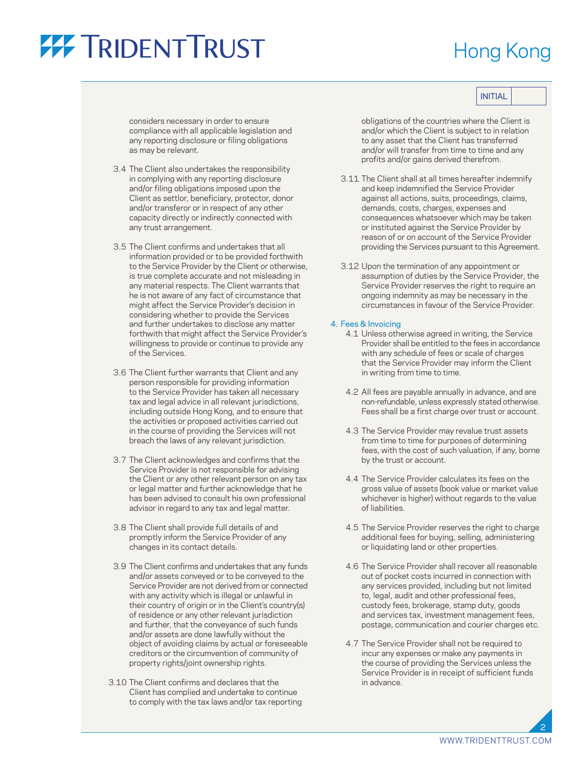### Hong Kong

considers necessary in order to ensure compliance with all applicable legislation and any reporting disclosure or filing obligations as may be relevant.

- 3.4 The Client also undertakes the responsibility in complying with any reporting disclosure and/or filing obligations imposed upon the Client as settlor, beneficiary, protector, donor and/or transferor or in respect of any other capacity directly or indirectly connected with any trust arrangement.
- 3.5 The Client confirms and undertakes that all information provided or to be provided forthwith to the Service Provider by the Client or otherwise, is true complete accurate and not misleading in any material respects. The Client warrants that he is not aware of any fact of circumstance that might affect the Service Provider's decision in considering whether to provide the Services and further undertakes to disclose any matter forthwith that might affect the Service Provider's willingness to provide or continue to provide any of the Services.
- 3.6 The Client further warrants that Client and any person responsible for providing information to the Service Provider has taken all necessary tax and legal advice in all relevant jurisdictions, including outside Hong Kong, and to ensure that the activities or proposed activities carried out in the course of providing the Services will not breach the laws of any relevant jurisdiction.
- 3.7 The Client acknowledges and confirms that the Service Provider is not responsible for advising the Client or any other relevant person on any tax or legal matter and further acknowledge that he has been advised to consult his own professional advisor in regard to any tax and legal matter.
- 3.8 The Client shall provide full details of and promptly inform the Service Provider of any changes in its contact details.
- 3.9 The Client confirms and undertakes that any funds and/or assets conveyed or to be conveyed to the Service Provider are not derived from or connected with any activity which is illegal or unlawful in their country of origin or in the Client's country(s) of residence or any other relevant jurisdiction and further, that the conveyance of such funds and/or assets are done lawfully without the object of avoiding claims by actual or foreseeable creditors or the circumvention of community of property rights/joint ownership rights.
- 3.10 The Client confirms and declares that the Client has complied and undertake to continue to comply with the tax laws and/or tax reporting

obligations of the countries where the Client is and/or which the Client is subject to in relation to any asset that the Client has transferred and/or will transfer from time to time and any profits and/or gains derived therefrom.

- 3.11 The Client shall at all times hereafter indemnify and keep indemnified the Service Provider against all actions, suits, proceedings, claims, demands, costs, charges, expenses and consequences whatsoever which may be taken or instituted against the Service Provider by reason of or on account of the Service Provider providing the Services pursuant to this Agreement.
- 3.12 Upon the termination of any appointment or assumption of duties by the Service Provider, the Service Provider reserves the right to require an ongoing indemnity as may be necessary in the circumstances in favour of the Service Provider.

#### 4. Fees & Invoicing

- 4.1 Unless otherwise agreed in writing, the Service Provider shall be entitled to the fees in accordance with any schedule of fees or scale of charges that the Service Provider may inform the Client in writing from time to time.
- 4.2 All fees are payable annually in advance, and are non-refundable, unless expressly stated otherwise. Fees shall be a first charge over trust or account.
- 4.3 The Service Provider may revalue trust assets from time to time for purposes of determining fees, with the cost of such valuation, if any, borne by the trust or account.
- 4.4 The Service Provider calculates its fees on the gross value of assets (book value or market value whichever is higher) without regards to the value of liabilities.
- 4.5 The Service Provider reserves the right to charge additional fees for buying, selling, administering or liquidating land or other properties.
- 4.6 The Service Provider shall recover all reasonable out of pocket costs incurred in connection with any services provided, including but not limited to, legal, audit and other professional fees, custody fees, brokerage, stamp duty, goods and services tax, investment management fees, postage, communication and courier charges etc.
- 4.7 The Service Provider shall not be required to incur any expenses or make any payments in the course of providing the Services unless the Service Provider is in receipt of sufficient funds in advance.

2

INITIAL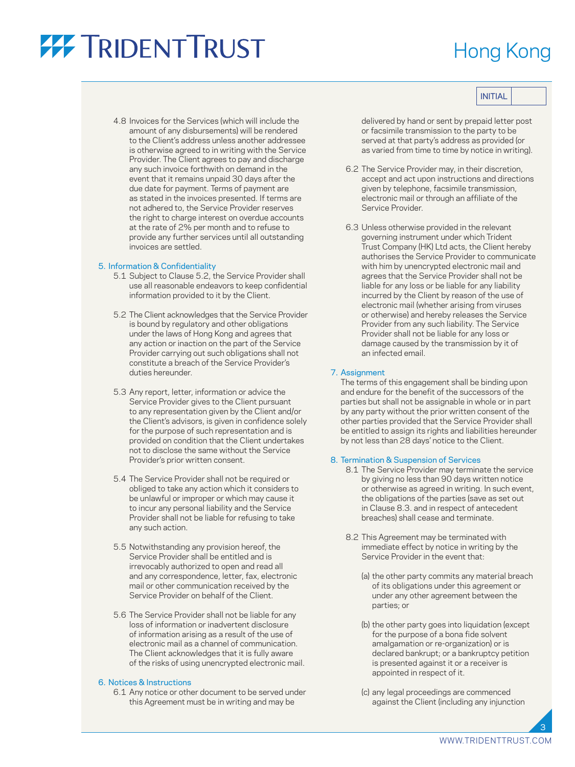## Hong Kong

INITIAL

 4.8 Invoices for the Services (which will include the amount of any disbursements) will be rendered to the Client's address unless another addressee is otherwise agreed to in writing with the Service Provider. The Client agrees to pay and discharge any such invoice forthwith on demand in the event that it remains unpaid 30 days after the due date for payment. Terms of payment are as stated in the invoices presented. If terms are not adhered to, the Service Provider reserves the right to charge interest on overdue accounts at the rate of 2% per month and to refuse to provide any further services until all outstanding invoices are settled.

#### 5. Information & Confidentiality

- 5.1 Subject to Clause 5.2, the Service Provider shall use all reasonable endeavors to keep confidential information provided to it by the Client.
- 5.2 The Client acknowledges that the Service Provider is bound by regulatory and other obligations under the laws of Hong Kong and agrees that any action or inaction on the part of the Service Provider carrying out such obligations shall not constitute a breach of the Service Provider's duties hereunder.
- 5.3 Any report, letter, information or advice the Service Provider gives to the Client pursuant to any representation given by the Client and/or the Client's advisors, is given in confidence solely for the purpose of such representation and is provided on condition that the Client undertakes not to disclose the same without the Service Provider's prior written consent.
- 5.4 The Service Provider shall not be required or obliged to take any action which it considers to be unlawful or improper or which may cause it to incur any personal liability and the Service Provider shall not be liable for refusing to take any such action.
- 5.5 Notwithstanding any provision hereof, the Service Provider shall be entitled and is irrevocably authorized to open and read all and any correspondence, letter, fax, electronic mail or other communication received by the Service Provider on behalf of the Client.
- 5.6 The Service Provider shall not be liable for any loss of information or inadvertent disclosure of information arising as a result of the use of electronic mail as a channel of communication. The Client acknowledges that it is fully aware of the risks of using unencrypted electronic mail.

#### 6. Notices & Instructions

 6.1 Any notice or other document to be served under this Agreement must be in writing and may be

delivered by hand or sent by prepaid letter post or facsimile transmission to the party to be served at that party's address as provided (or as varied from time to time by notice in writing).

- 6.2 The Service Provider may, in their discretion, accept and act upon instructions and directions given by telephone, facsimile transmission, electronic mail or through an affiliate of the Service Provider.
- 6.3 Unless otherwise provided in the relevant governing instrument under which Trident Trust Company (HK) Ltd acts, the Client hereby authorises the Service Provider to communicate with him by unencrypted electronic mail and agrees that the Service Provider shall not be liable for any loss or be liable for any liability incurred by the Client by reason of the use of electronic mail (whether arising from viruses or otherwise) and hereby releases the Service Provider from any such liability. The Service Provider shall not be liable for any loss or damage caused by the transmission by it of an infected email.

#### 7. Assignment

 The terms of this engagement shall be binding upon and endure for the benefit of the successors of the parties but shall not be assignable in whole or in part by any party without the prior written consent of the other parties provided that the Service Provider shall be entitled to assign its rights and liabilities hereunder by not less than 28 days' notice to the Client.

#### 8. Termination & Suspension of Services

- 8.1 The Service Provider may terminate the service by giving no less than 90 days written notice or otherwise as agreed in writing. In such event, the obligations of the parties (save as set out in Clause 8.3. and in respect of antecedent breaches) shall cease and terminate.
- 8.2 This Agreement may be terminated with immediate effect by notice in writing by the Service Provider in the event that:
	- (a) the other party commits any material breach of its obligations under this agreement or under any other agreement between the parties; or
	- (b) the other party goes into liquidation (except for the purpose of a bona fide solvent amalgamation or re-organization) or is declared bankrupt; or a bankruptcy petition is presented against it or a receiver is appointed in respect of it.
	- (c) any legal proceedings are commenced against the Client (including any injunction

3